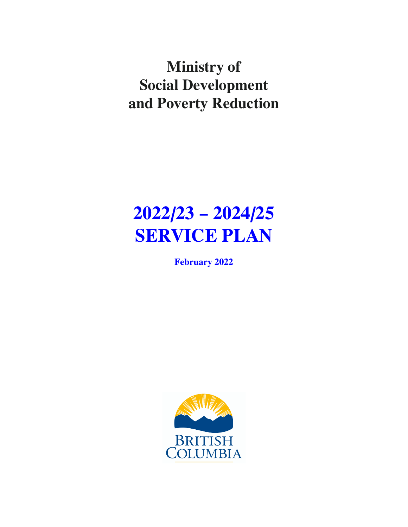**Ministry of Social Development and Poverty Reduction**

# **2022/23 – 2024/25 SERVICE PLAN**

**February 2022**

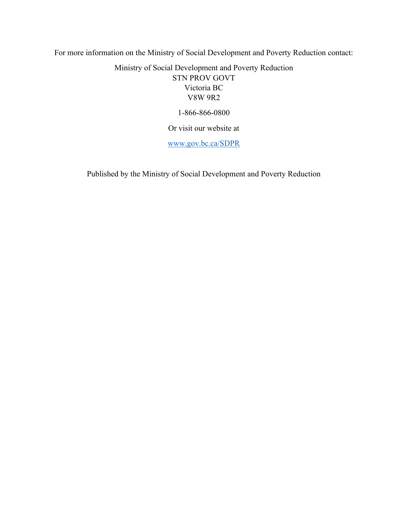For more information on the Ministry of Social Development and Poverty Reduction contact:

Ministry of Social Development and Poverty Reduction STN PROV GOVT Victoria BC V8W 9R2

1-866-866-0800

Or visit our website at

[www.gov.bc.ca/SDPR](https://www2.gov.bc.ca/gov/content/governments/organizational-structure/ministries-organizations/ministries/social-development-poverty-reduction)

Published by the Ministry of Social Development and Poverty Reduction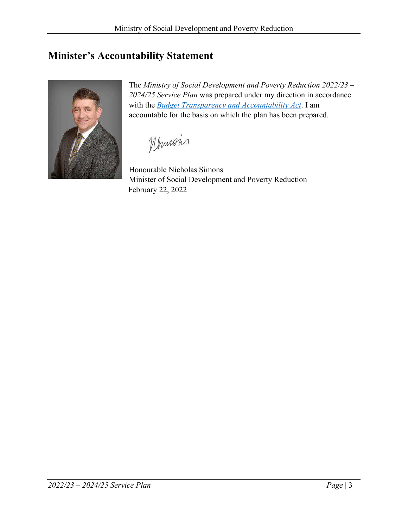# <span id="page-2-0"></span>**Minister's Accountability Statement**



The *Ministry of Social Development and Poverty Reduction 2022/23 – 2024/25 Service Plan* was prepared under my direction in accordance with the *[Budget Transparency and Accountability Act](https://www.bclaws.gov.bc.ca/civix/document/id/complete/statreg/00023_01)*. I am accountable for the basis on which the plan has been prepared.

Mhmois

Honourable Nicholas Simons Minister of Social Development and Poverty Reduction February 22, 2022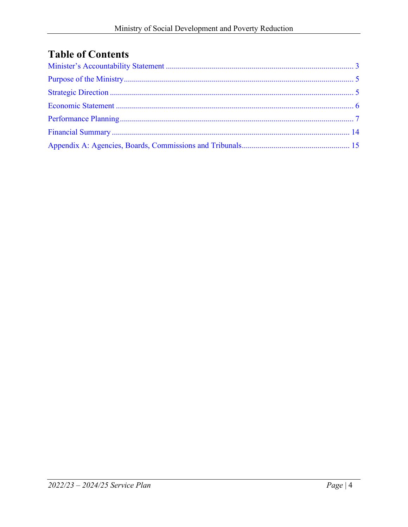# **Table of Contents**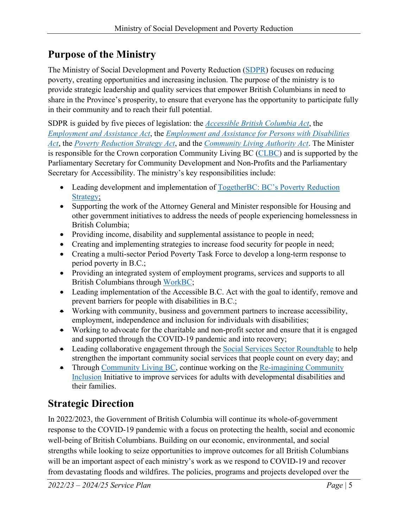# <span id="page-4-0"></span>**Purpose of the Ministry**

The Ministry of Social Development and Poverty Reduction [\(SDPR\)](https://www2.gov.bc.ca/gov/content/governments/organizational-structure/ministries-organizations/ministries/social-development-poverty-reduction) focuses on reducing poverty, creating opportunities and increasing inclusion. The purpose of the ministry is to provide strategic leadership and quality services that empower British Columbians in need to share in the Province's prosperity, to ensure that everyone has the opportunity to participate fully in their community and to reach their full potential.

SDPR is guided by five pieces of legislation: the *[Accessible British Columbia Act](https://www.leg.bc.ca/parliamentary-business/legislation-debates-proceedings/42nd-parliament/2nd-session/bills/third-reading/gov06-3)*, the *[Employment and Assistance Act](http://www.bclaws.ca/civix/document/id/complete/statreg/02040_01)*, the *[Employment and Assistance for Persons with Disabilities](http://www.bclaws.ca/civix/document/id/complete/statreg/02041_01)  [Act](http://www.bclaws.ca/civix/document/id/complete/statreg/02041_01)*, the *[Poverty Reduction Strategy Act](http://www.bclaws.ca/civix/document/id/complete/statreg/18040/search/CIVIX_DOCUMENT_ROOT_STEM:(poverty%20reduction)?2)*, and the *[Community Living Authority Act](http://www.bclaws.ca/civix/document/id/complete/statreg/04060_01)*. The Minister is responsible for the Crown corporation Community Living BC [\(CLBC\)](https://www.communitylivingbc.ca/) and is supported by the Parliamentary Secretary for Community Development and Non-Profits and the Parliamentary Secretary for Accessibility. The ministry's key responsibilities include:

- Leading development and implementation of TogetherBC: BC's Poverty Reduction [Strategy;](https://www2.gov.bc.ca/assets/gov/british-columbians-our-governments/initiatives-plans-strategies/poverty-reduction-strategy/togetherbc.pdf)
- Supporting the work of the Attorney General and Minister responsible for Housing and other government initiatives to address the needs of people experiencing homelessness in British Columbia;
- Providing income, disability and supplemental assistance to people in need;
- Creating and implementing strategies to increase food security for people in need;
- Creating a multi-sector Period Poverty Task Force to develop a long-term response to period poverty in B.C.;
- Providing an integrated system of employment programs, services and supports to all British Columbians through [WorkBC;](https://www.workbc.ca/)
- Leading implementation of the Accessible B.C. Act with the goal to identify, remove and prevent barriers for people with disabilities in B.C.;
- Working with community, business and government partners to increase accessibility, employment, independence and inclusion for individuals with disabilities;
- Working to advocate for the charitable and non-profit sector and ensure that it is engaged and supported through the COVID-19 pandemic and into recovery;
- Leading collaborative engagement through the [Social Services Sector Roundtable](https://www2.gov.bc.ca/gov/content/governments/about-the-bc-government/initiatives/social-services-sector-roundtable) to help strengthen the important community social services that people count on every day; and
- Through [Community Living BC,](https://www.communitylivingbc.ca/) continue working on the Re-imagining Community [Inclusion](https://www2.gov.bc.ca/assets/gov/british-columbians-our-governments/organizational-structure/ministries-organizations/social-development-poverty-reduction/re-imagining-community-inclusion-march-2019.pdf) Initiative to improve services for adults with developmental disabilities and their families.

# <span id="page-4-1"></span>**Strategic Direction**

In 2022/2023, the Government of British Columbia will continue its whole-of-government response to the COVID-19 pandemic with a focus on protecting the health, social and economic well-being of British Columbians. Building on our economic, environmental, and social strengths while looking to seize opportunities to improve outcomes for all British Columbians will be an important aspect of each ministry's work as we respond to COVID-19 and recover from devastating floods and wildfires. The policies, programs and projects developed over the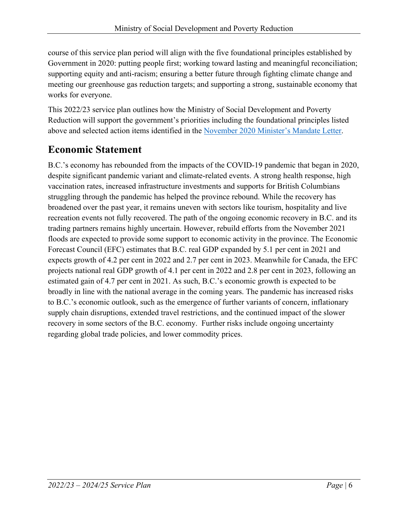course of this service plan period will align with the five foundational principles established by Government in 2020: putting people first; working toward lasting and meaningful reconciliation; supporting equity and anti-racism; ensuring a better future through fighting climate change and meeting our greenhouse gas reduction targets; and supporting a strong, sustainable economy that works for everyone.

This 2022/23 service plan outlines how the Ministry of Social Development and Poverty Reduction will support the government's priorities including the foundational principles listed above and selected action items identified in the [November 2020 Minister's Mandate Letter.](https://news.gov.bc.ca/files/SDPR-Simons-mandate.pdf)

# <span id="page-5-0"></span>**Economic Statement**

B.C.'s economy has rebounded from the impacts of the COVID-19 pandemic that began in 2020, despite significant pandemic variant and climate-related events. A strong health response, high vaccination rates, increased infrastructure investments and supports for British Columbians struggling through the pandemic has helped the province rebound. While the recovery has broadened over the past year, it remains uneven with sectors like tourism, hospitality and live recreation events not fully recovered. The path of the ongoing economic recovery in B.C. and its trading partners remains highly uncertain. However, rebuild efforts from the November 2021 floods are expected to provide some support to economic activity in the province. The Economic Forecast Council (EFC) estimates that B.C. real GDP expanded by 5.1 per cent in 2021 and expects growth of 4.2 per cent in 2022 and 2.7 per cent in 2023. Meanwhile for Canada, the EFC projects national real GDP growth of 4.1 per cent in 2022 and 2.8 per cent in 2023, following an estimated gain of 4.7 per cent in 2021. As such, B.C.'s economic growth is expected to be broadly in line with the national average in the coming years. The pandemic has increased risks to B.C.'s economic outlook, such as the emergence of further variants of concern, inflationary supply chain disruptions, extended travel restrictions, and the continued impact of the slower recovery in some sectors of the B.C. economy. Further risks include ongoing uncertainty regarding global trade policies, and lower commodity prices.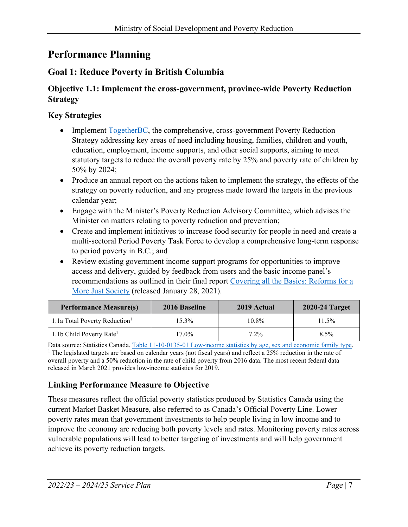# <span id="page-6-0"></span>**Performance Planning**

# **Goal 1: Reduce Poverty in British Columbia**

## **Objective 1.1: Implement the cross-government, province-wide Poverty Reduction Strategy**

## **Key Strategies**

- Implement [TogetherBC,](https://www2.gov.bc.ca/gov/content/governments/about-the-bc-government/poverty-reduction-strategy) the comprehensive, cross-government Poverty Reduction Strategy addressing key areas of need including housing, families, children and youth, education, employment, income supports, and other social supports, aiming to meet statutory targets to reduce the overall poverty rate by 25% and poverty rate of children by 50% by 2024;
- Produce an annual report on the actions taken to implement the strategy, the effects of the strategy on poverty reduction, and any progress made toward the targets in the previous calendar year;
- Engage with the Minister's Poverty Reduction Advisory Committee, which advises the Minister on matters relating to poverty reduction and prevention;
- Create and implement initiatives to increase food security for people in need and create a multi-sectoral Period Poverty Task Force to develop a comprehensive long-term response to period poverty in B.C.; and
- Review existing government income support programs for opportunities to improve access and delivery, guided by feedback from users and the basic income panel's recommendations as outlined in their final report Covering all the Basics: Reforms for a [More Just Society](https://bcbasicincomepanel.ca/wp-content/uploads/2021/01/Final_Report_BC_Basic_Income_Panel.pdf) (released January 28, 2021).

| <b>Performance Measure(s)</b>             | 2016 Baseline | 2019 Actual | 2020-24 Target |
|-------------------------------------------|---------------|-------------|----------------|
| 1.1a Total Poverty Reduction <sup>1</sup> | 15.3%         | 10.8%       | 11.5%          |
| 1.1b Child Poverty Rate <sup>1</sup>      | $17.0\%$      | 7.2%        | $8.5\%$        |

Data source: Statistics Canada. Table [11-10-0135-01 Low-income statistics by age, sex and economic family type.](https://www150.statcan.gc.ca/t1/tbl1/en/tv.action?pid=1110013501)<br><sup>1</sup> The legislated targets are based on calendar years (not fiscal years) and reflect a 25% reduction in the r overall poverty and a 50% reduction in the rate of child poverty from 2016 data. The most recent federal data released in March 2021 provides low-income statistics for 2019.

# **Linking Performance Measure to Objective**

These measures reflect the official poverty statistics produced by Statistics Canada using the current Market Basket Measure, also referred to as Canada's Official Poverty Line. Lower poverty rates mean that government investments to help people living in low income and to improve the economy are reducing both poverty levels and rates. Monitoring poverty rates across vulnerable populations will lead to better targeting of investments and will help government achieve its poverty reduction targets.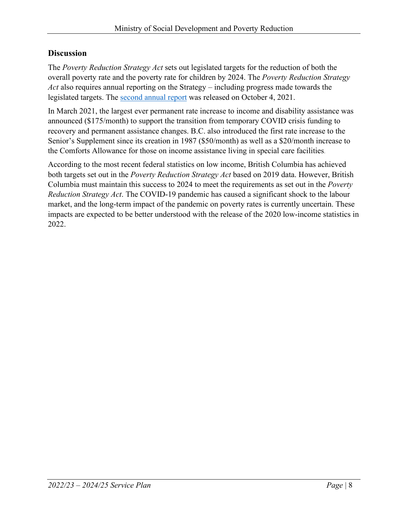### **Discussion**

The *Poverty Reduction Strategy Act* sets out legislated targets for the reduction of both the overall poverty rate and the poverty rate for children by 2024. The *Poverty Reduction Strategy Act* also requires annual reporting on the Strategy – including progress made towards the legislated targets. The [second annual report](https://www2.gov.bc.ca/assets/gov/british-columbians-our-governments/organizational-structure/ministries-organizations/social-development-poverty-reduction/togetherbc-report-2020.pdf) was released on October 4, 2021.

In March 2021, the largest ever permanent rate increase to income and disability assistance was announced (\$175/month) to support the transition from temporary COVID crisis funding to recovery and permanent assistance changes. B.C. also introduced the first rate increase to the Senior's Supplement since its creation in 1987 (\$50/month) as well as a \$20/month increase to the Comforts Allowance for those on income assistance living in special care facilities.

According to the most recent federal statistics on low income, British Columbia has achieved both targets set out in the *Poverty Reduction Strategy Act* based on 2019 data. However, British Columbia must maintain this success to 2024 to meet the requirements as set out in the *Poverty Reduction Strategy Act*. The COVID-19 pandemic has caused a significant shock to the labour market, and the long-term impact of the pandemic on poverty rates is currently uncertain. These impacts are expected to be better understood with the release of the 2020 low-income statistics in 2022.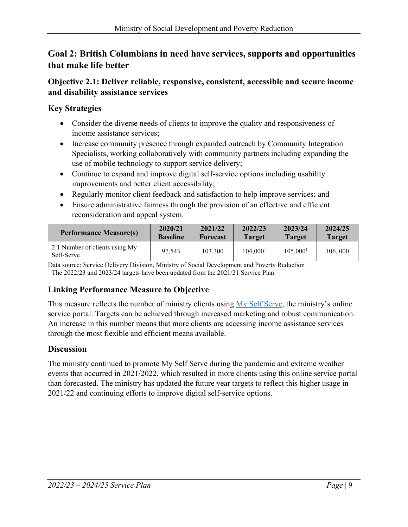# **Goal 2: British Columbians in need have services, supports and opportunities that make life better**

## **Objective 2.1: Deliver reliable, responsive, consistent, accessible and secure income and disability assistance services**

# **Key Strategies**

- Consider the diverse needs of clients to improve the quality and responsiveness of income assistance services;
- Increase community presence through expanded outreach by Community Integration Specialists, working collaboratively with community partners including expanding the use of mobile technology to support service delivery;
- Continue to expand and improve digital self-service options including usability improvements and better client accessibility;
- Regularly monitor client feedback and satisfaction to help improve services; and
- Ensure administrative fairness through the provision of an effective and efficient reconsideration and appeal system.

| <b>Performance Measure(s)</b>                | 2020/21         | 2021/22         | 2022/23              | 2023/24       | 2024/25       |
|----------------------------------------------|-----------------|-----------------|----------------------|---------------|---------------|
|                                              | <b>Baseline</b> | <b>Forecast</b> | <b>Target</b>        | <b>Target</b> | <b>Target</b> |
| 2.1 Number of clients using My<br>Self-Serve | 97.543          | 103,300         | 104,000 <sup>1</sup> | 105,000       | 106,000       |

Data source: Service Delivery Division, Ministry of Social Development and Poverty Reduction

<sup>1</sup> The 2022/23 and 2023/24 targets have been updated from the 2021/21 Service Plan

# **Linking Performance Measure to Objective**

This measure reflects the number of ministry clients using [My Self Serve,](https://myselfserve.gov.bc.ca/) the ministry's online service portal. Targets can be achieved through increased marketing and robust communication. An increase in this number means that more clients are accessing income assistance services through the most flexible and efficient means available.

# **Discussion**

The ministry continued to promote My Self Serve during the pandemic and extreme weather events that occurred in 2021/2022, which resulted in more clients using this online service portal than forecasted. The ministry has updated the future year targets to reflect this higher usage in 2021/22 and continuing efforts to improve digital self-service options.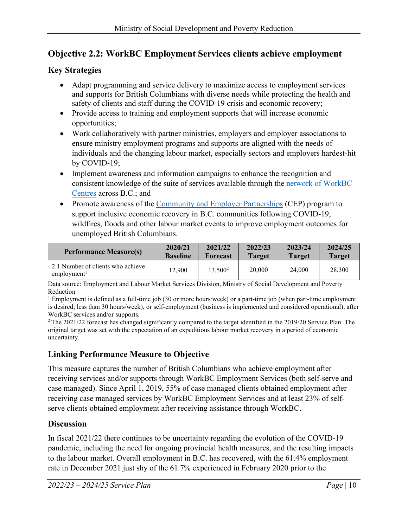# **Objective 2.2: WorkBC Employment Services clients achieve employment**

#### **Key Strategies**

- Adapt programming and service delivery to maximize access to employment services and supports for British Columbians with diverse needs while protecting the health and safety of clients and staff during the COVID-19 crisis and economic recovery;
- Provide access to training and employment supports that will increase economic opportunities;
- Work collaboratively with partner ministries, employers and employer associations to ensure ministry employment programs and supports are aligned with the needs of individuals and the changing labour market, especially sectors and employers hardest-hit by COVID-19;
- Implement awareness and information campaigns to enhance the recognition and consistent knowledge of the suite of services available through the [network of WorkBC](https://www.workbc.ca/employment-services/workbc-centres.aspx)  [Centres](https://www.workbc.ca/employment-services/workbc-centres.aspx) across B.C.; and
- Promote awareness of the [Community and Employer Partnerships](https://www.workbc.ca/employment-services/community-and-employer-partnerships.aspx) (CEP) program to support inclusive economic recovery in B.C. communities following COVID-19, wildfires, floods and other labour market events to improve employment outcomes for unemployed British Columbians.

| <b>Performance Measure(s)</b>                                | 2020/21         | 2021/22             | 2022/23       | 2023/24       | 2024/25       |
|--------------------------------------------------------------|-----------------|---------------------|---------------|---------------|---------------|
|                                                              | <b>Baseline</b> | <b>Forecast</b>     | <b>Target</b> | <b>Target</b> | <b>Target</b> |
| 2.1 Number of clients who achieve<br>employment <sup>1</sup> | 12.900          | 13,500 <sup>2</sup> | 20,000        | 24,000        | 28,300        |

Data source: Employment and Labour Market Services Division, Ministry of Social Development and Poverty Reduction

<sup>1</sup> Employment is defined as a full-time job (30 or more hours/week) or a part-time job (when part-time employment is desired; less than 30 hours/week), or self-employment (business is implemented and considered operational), after WorkBC services and/or supports.

2 The 2021/22 forecast has changed significantly compared to the target identified in the 2019/20 Service Plan. The original target was set with the expectation of an expeditious labour market recovery in a period of economic uncertainty.

#### **Linking Performance Measure to Objective**

This measure captures the number of British Columbians who achieve employment after receiving services and/or supports through WorkBC Employment Services (both self-serve and case managed). Since April 1, 2019, 55% of case managed clients obtained employment after receiving case managed services by WorkBC Employment Services and at least 23% of selfserve clients obtained employment after receiving assistance through WorkBC.

#### **Discussion**

In fiscal 2021/22 there continues to be uncertainty regarding the evolution of the COVID-19 pandemic, including the need for ongoing provincial health measures, and the resulting impacts to the labour market. Overall employment in B.C. has recovered, with the 61.4% employment rate in December 2021 just shy of the 61.7% experienced in February 2020 prior to the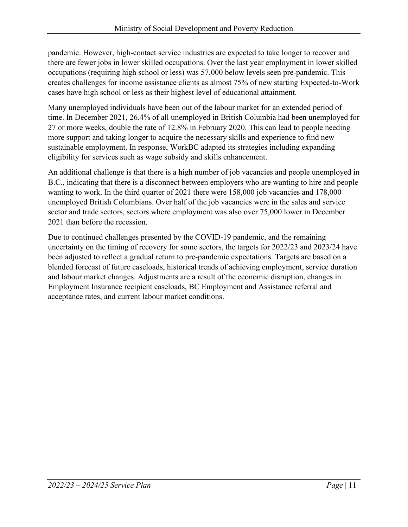pandemic. However, high-contact service industries are expected to take longer to recover and there are fewer jobs in lower skilled occupations. Over the last year employment in lower skilled occupations (requiring high school or less) was 57,000 below levels seen pre-pandemic. This creates challenges for income assistance clients as almost 75% of new starting Expected-to-Work cases have high school or less as their highest level of educational attainment.

Many unemployed individuals have been out of the labour market for an extended period of time. In December 2021, 26.4% of all unemployed in British Columbia had been unemployed for 27 or more weeks, double the rate of 12.8% in February 2020. This can lead to people needing more support and taking longer to acquire the necessary skills and experience to find new sustainable employment. In response, WorkBC adapted its strategies including expanding eligibility for services such as wage subsidy and skills enhancement.

An additional challenge is that there is a high number of job vacancies and people unemployed in B.C., indicating that there is a disconnect between employers who are wanting to hire and people wanting to work. In the third quarter of 2021 there were 158,000 job vacancies and 178,000 unemployed British Columbians. Over half of the job vacancies were in the sales and service sector and trade sectors, sectors where employment was also over 75,000 lower in December 2021 than before the recession.

Due to continued challenges presented by the COVID-19 pandemic, and the remaining uncertainty on the timing of recovery for some sectors, the targets for 2022/23 and 2023/24 have been adjusted to reflect a gradual return to pre-pandemic expectations. Targets are based on a blended forecast of future caseloads, historical trends of achieving employment, service duration and labour market changes. Adjustments are a result of the economic disruption, changes in Employment Insurance recipient caseloads, BC Employment and Assistance referral and acceptance rates, and current labour market conditions.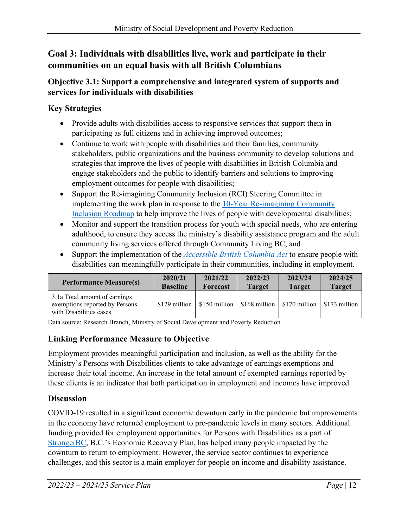# **Goal 3: Individuals with disabilities live, work and participate in their communities on an equal basis with all British Columbians**

## **Objective 3.1: Support a comprehensive and integrated system of supports and services for individuals with disabilities**

# **Key Strategies**

- Provide adults with disabilities access to responsive services that support them in participating as full citizens and in achieving improved outcomes;
- Continue to work with people with disabilities and their families, community stakeholders, public organizations and the business community to develop solutions and strategies that improve the lives of people with disabilities in British Columbia and engage stakeholders and the public to identify barriers and solutions to improving employment outcomes for people with disabilities;
- Support the Re-imagining Community Inclusion (RCI) Steering Committee in implementing the work plan in response to the [10-Year Re-imagining Community](https://www2.gov.bc.ca/assets/gov/british-columbians-our-governments/organizational-structure/ministries-organizations/social-development-poverty-reduction/re-imagining-community-inclusion-march-2019.pdf)  [Inclusion Roadmap](https://www2.gov.bc.ca/assets/gov/british-columbians-our-governments/organizational-structure/ministries-organizations/social-development-poverty-reduction/re-imagining-community-inclusion-march-2019.pdf) to help improve the lives of people with developmental disabilities;
- Monitor and support the transition process for youth with special needs, who are entering adulthood, to ensure they access the ministry's disability assistance program and the adult community living services offered through Community Living BC; and
- Support the implementation of the *[Accessible British Columbia Act](https://www.leg.bc.ca/Pages/BCLASS-Legacy.aspx)* to ensure people with disabilities can meaningfully participate in their communities, including in employment.

| <b>Performance Measure(s)</b>                                                              | 2020/21         | 2021/22         | 2022/23       | 2023/24                                                        | 2024/25       |
|--------------------------------------------------------------------------------------------|-----------------|-----------------|---------------|----------------------------------------------------------------|---------------|
|                                                                                            | <b>Baseline</b> | <b>Forecast</b> | <b>Target</b> | <b>Target</b>                                                  | <b>Target</b> |
| 3.1a Total amount of earnings<br>exemptions reported by Persons<br>with Disabilities cases | $$129$ million  |                 |               | $$150$ million   \$168 million   \$170 million   \$173 million |               |

Data source: Research Branch, Ministry of Social Development and Poverty Reduction

# **Linking Performance Measure to Objective**

Employment provides meaningful participation and inclusion, as well as the ability for the Ministry's Persons with Disabilities clients to take advantage of earnings exemptions and increase their total income. An increase in the total amount of exempted earnings reported by these clients is an indicator that both participation in employment and incomes have improved.

#### **Discussion**

COVID-19 resulted in a significant economic downturn early in the pandemic but improvements in the economy have returned employment to pre-pandemic levels in many sectors. Additional funding provided for employment opportunities for Persons with Disabilities as a part of [StrongerBC,](https://strongerbc.gov.bc.ca/) B.C.'s Economic Recovery Plan, has helped many people impacted by the downturn to return to employment. However, the service sector continues to experience challenges, and this sector is a main employer for people on income and disability assistance.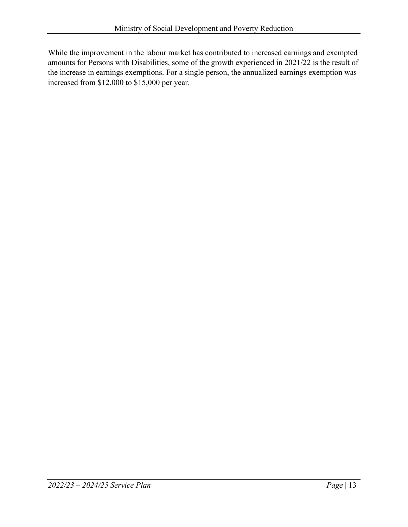While the improvement in the labour market has contributed to increased earnings and exempted amounts for Persons with Disabilities, some of the growth experienced in 2021/22 is the result of the increase in earnings exemptions. For a single person, the annualized earnings exemption was increased from \$12,000 to \$15,000 per year.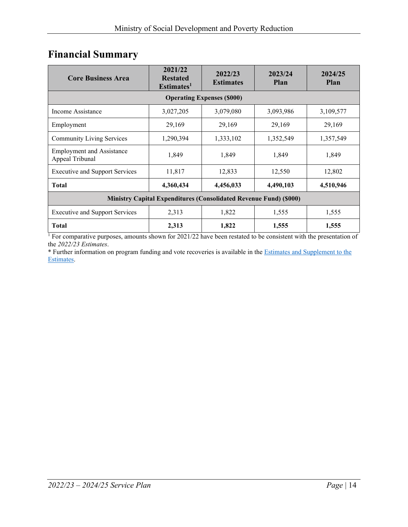# <span id="page-13-0"></span>**Financial Summary**

| <b>Core Business Area</b>                                                | 2021/22<br><b>Restated</b><br>Estimates <sup>1</sup> | 2022/23<br><b>Estimates</b> | 2023/24<br>Plan | 2024/25<br><b>Plan</b> |  |  |  |
|--------------------------------------------------------------------------|------------------------------------------------------|-----------------------------|-----------------|------------------------|--|--|--|
| <b>Operating Expenses (\$000)</b>                                        |                                                      |                             |                 |                        |  |  |  |
| Income Assistance                                                        | 3,027,205                                            | 3,079,080                   | 3,093,986       | 3,109,577              |  |  |  |
| Employment                                                               | 29,169                                               | 29,169                      | 29,169          | 29,169                 |  |  |  |
| <b>Community Living Services</b>                                         | 1,290,394                                            | 1,333,102                   | 1,352,549       | 1,357,549              |  |  |  |
| <b>Employment and Assistance</b><br>Appeal Tribunal                      | 1,849                                                | 1,849                       | 1,849           | 1,849                  |  |  |  |
| <b>Executive and Support Services</b>                                    | 11,817                                               | 12,833                      | 12,550          | 12,802                 |  |  |  |
| <b>Total</b>                                                             | 4,360,434                                            | 4,456,033                   | 4,490,103       | 4,510,946              |  |  |  |
| <b>Ministry Capital Expenditures (Consolidated Revenue Fund) (\$000)</b> |                                                      |                             |                 |                        |  |  |  |
| <b>Executive and Support Services</b>                                    | 2,313                                                | 1,822                       | 1,555           | 1,555                  |  |  |  |
| <b>Total</b>                                                             | 2,313                                                | 1,822                       | 1,555           | 1,555                  |  |  |  |

<sup>1</sup> For comparative purposes, amounts shown for 2021/22 have been restated to be consistent with the presentation of the *2022/23 Estimates*.

\* Further information on program funding and vote recoveries is available in th[e Estimates and Supplement to the](http://www.bcbudget.gov.bc.ca/)  [Estimates.](http://www.bcbudget.gov.bc.ca/)